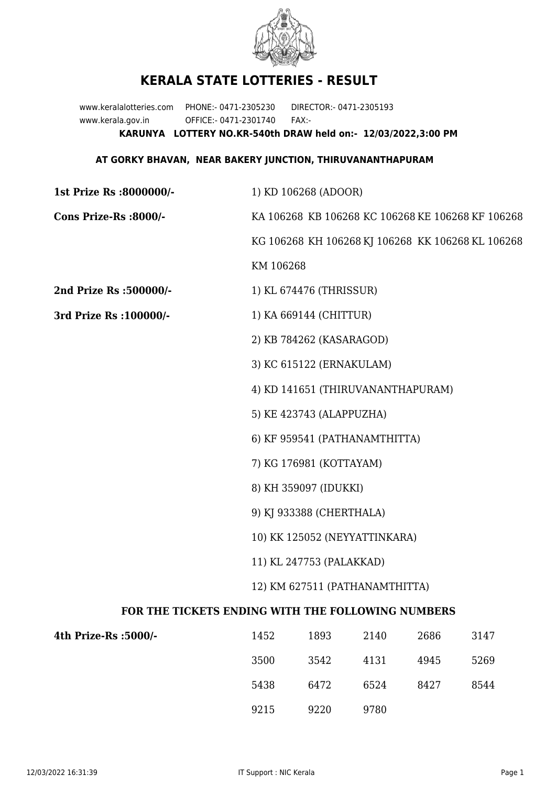

## **KERALA STATE LOTTERIES - RESULT**

www.keralalotteries.com PHONE:- 0471-2305230 DIRECTOR:- 0471-2305193 www.kerala.gov.in OFFICE:- 0471-2301740 FAX:- **KARUNYA LOTTERY NO.KR-540th DRAW held on:- 12/03/2022,3:00 PM**

## **AT GORKY BHAVAN, NEAR BAKERY JUNCTION, THIRUVANANTHAPURAM**

| 1st Prize Rs :8000000/-                           | 1) KD 106268 (ADOOR)                              |      |      |      |                                                   |  |  |
|---------------------------------------------------|---------------------------------------------------|------|------|------|---------------------------------------------------|--|--|
| Cons Prize-Rs :8000/-                             | KA 106268 KB 106268 KC 106268 KE 106268 KF 106268 |      |      |      |                                                   |  |  |
|                                                   |                                                   |      |      |      | KG 106268 KH 106268 KJ 106268 KK 106268 KL 106268 |  |  |
|                                                   | KM 106268                                         |      |      |      |                                                   |  |  |
| 2nd Prize Rs :500000/-                            | 1) KL 674476 (THRISSUR)                           |      |      |      |                                                   |  |  |
| 3rd Prize Rs : 100000/-                           | 1) KA 669144 (CHITTUR)                            |      |      |      |                                                   |  |  |
|                                                   | 2) KB 784262 (KASARAGOD)                          |      |      |      |                                                   |  |  |
|                                                   | 3) KC 615122 (ERNAKULAM)                          |      |      |      |                                                   |  |  |
|                                                   | 4) KD 141651 (THIRUVANANTHAPURAM)                 |      |      |      |                                                   |  |  |
|                                                   | 5) KE 423743 (ALAPPUZHA)                          |      |      |      |                                                   |  |  |
|                                                   | 6) KF 959541 (PATHANAMTHITTA)                     |      |      |      |                                                   |  |  |
|                                                   | 7) KG 176981 (KOTTAYAM)                           |      |      |      |                                                   |  |  |
|                                                   | 8) KH 359097 (IDUKKI)                             |      |      |      |                                                   |  |  |
|                                                   | 9) KJ 933388 (CHERTHALA)                          |      |      |      |                                                   |  |  |
|                                                   | 10) KK 125052 (NEYYATTINKARA)                     |      |      |      |                                                   |  |  |
|                                                   | 11) KL 247753 (PALAKKAD)                          |      |      |      |                                                   |  |  |
|                                                   | 12) KM 627511 (PATHANAMTHITTA)                    |      |      |      |                                                   |  |  |
| FOR THE TICKETS ENDING WITH THE FOLLOWING NUMBERS |                                                   |      |      |      |                                                   |  |  |
| 4th Prize-Rs :5000/-                              | 1452                                              | 1893 | 2140 | 2686 | 3147                                              |  |  |
|                                                   | 3500                                              | 3542 | 4131 | 4945 | 5269                                              |  |  |

9215 9220 9780

5438 6472 6524 8427 8544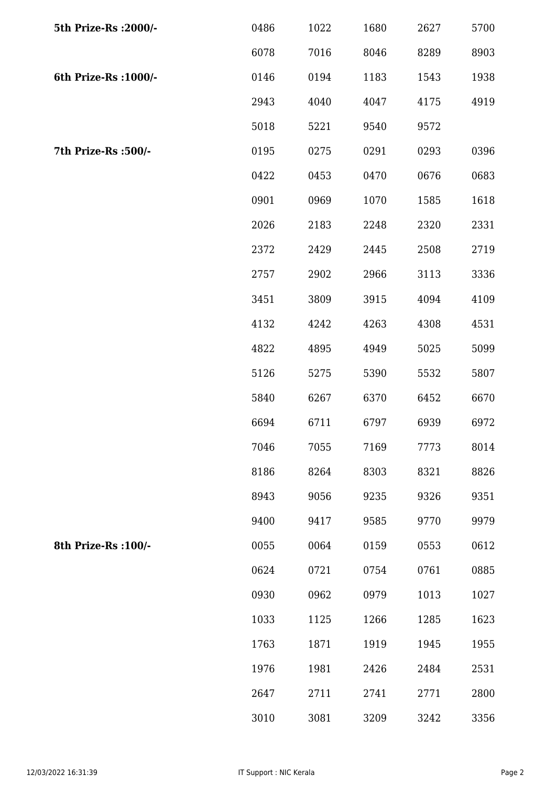| 5th Prize-Rs : 2000/- | 0486 | 1022 | 1680 | 2627 | 5700 |
|-----------------------|------|------|------|------|------|
|                       | 6078 | 7016 | 8046 | 8289 | 8903 |
| 6th Prize-Rs : 1000/- | 0146 | 0194 | 1183 | 1543 | 1938 |
|                       | 2943 | 4040 | 4047 | 4175 | 4919 |
|                       | 5018 | 5221 | 9540 | 9572 |      |
| 7th Prize-Rs :500/-   | 0195 | 0275 | 0291 | 0293 | 0396 |
|                       | 0422 | 0453 | 0470 | 0676 | 0683 |
|                       | 0901 | 0969 | 1070 | 1585 | 1618 |
|                       | 2026 | 2183 | 2248 | 2320 | 2331 |
|                       | 2372 | 2429 | 2445 | 2508 | 2719 |
|                       | 2757 | 2902 | 2966 | 3113 | 3336 |
|                       | 3451 | 3809 | 3915 | 4094 | 4109 |
|                       | 4132 | 4242 | 4263 | 4308 | 4531 |
|                       | 4822 | 4895 | 4949 | 5025 | 5099 |
|                       | 5126 | 5275 | 5390 | 5532 | 5807 |
|                       | 5840 | 6267 | 6370 | 6452 | 6670 |
|                       | 6694 | 6711 | 6797 | 6939 | 6972 |
|                       | 7046 | 7055 | 7169 | 7773 | 8014 |
|                       | 8186 | 8264 | 8303 | 8321 | 8826 |
|                       | 8943 | 9056 | 9235 | 9326 | 9351 |
|                       | 9400 | 9417 | 9585 | 9770 | 9979 |
| 8th Prize-Rs : 100/-  | 0055 | 0064 | 0159 | 0553 | 0612 |
|                       | 0624 | 0721 | 0754 | 0761 | 0885 |
|                       | 0930 | 0962 | 0979 | 1013 | 1027 |
|                       | 1033 | 1125 | 1266 | 1285 | 1623 |
|                       | 1763 | 1871 | 1919 | 1945 | 1955 |
|                       | 1976 | 1981 | 2426 | 2484 | 2531 |
|                       | 2647 | 2711 | 2741 | 2771 | 2800 |
|                       | 3010 | 3081 | 3209 | 3242 | 3356 |